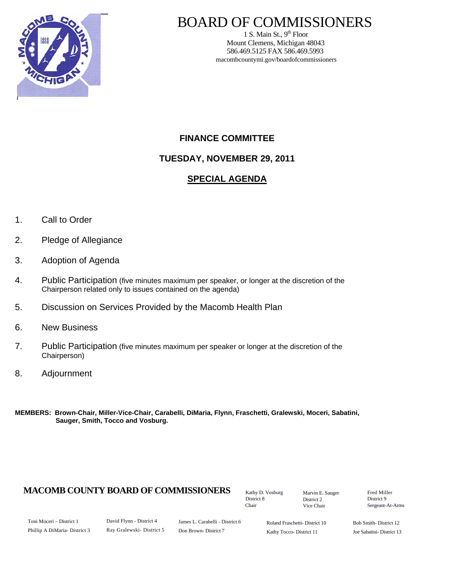

### BOARD OF COMMISSIONERS

1 S. Main St.,  $9<sup>th</sup>$  Floor Mount Clemens, Michigan 48043 586.469.5125 FAX 586.469.5993 macombcountymi.gov/boardofcommissioners

#### **FINANCE COMMITTEE**

**TUESDAY, NOVEMBER 29, 2011** 

#### **SPECIAL AGENDA**

- 1. Call to Order
- 2. Pledge of Allegiance
- 3. Adoption of Agenda
- 4. Public Participation (five minutes maximum per speaker, or longer at the discretion of the Chairperson related only to issues contained on the agenda)
- 5. Discussion on Services Provided by the Macomb Health Plan
- 6. New Business
- 7. Public Participation (five minutes maximum per speaker or longer at the discretion of the Chairperson)
- 8. Adjournment
- **MEMBERS: Brown-Chair, Miller-Vice-Chair, Carabelli, DiMaria, Flynn, Fraschetti, Gralewski, Moceri, Sabatini, Sauger, Smith, Tocco and Vosburg.**

#### **MACOMB COUNTY BOARD OF COMMISSIONERS** Factor D. Vosburg Marvin F. Sauger Fred Miller

Kathy D. Vosburg District 8 Chair

Marvin E. Sauger District 2 Vice Chair

District 9 Sergeant-At-Arms

Toni Moceri – District 1 Phillip A DiMaria- District 3 David Flynn - District 4 Ray Gralewski- District 5

James L. Carabelli - District 6 Don Brown- District 7

Roland Fraschetti- District 10 Kathy Tocco- District 11

Bob Smith- District 12 Joe Sabatini- District 13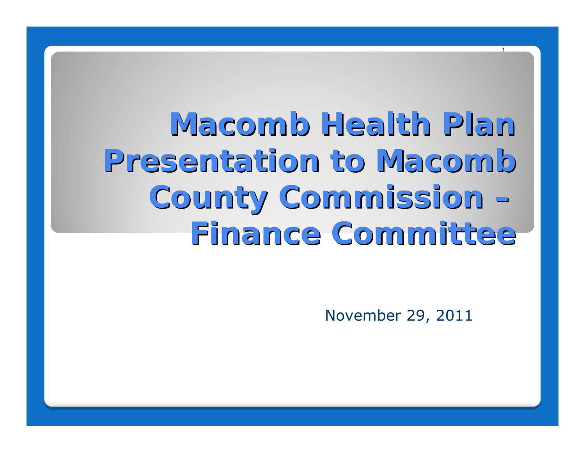**Macomb Health Plan Macomb Health PlanPresentation to Macomb County Commission County Commission – Finance Committee Finance Committee**

November 29, 2011

1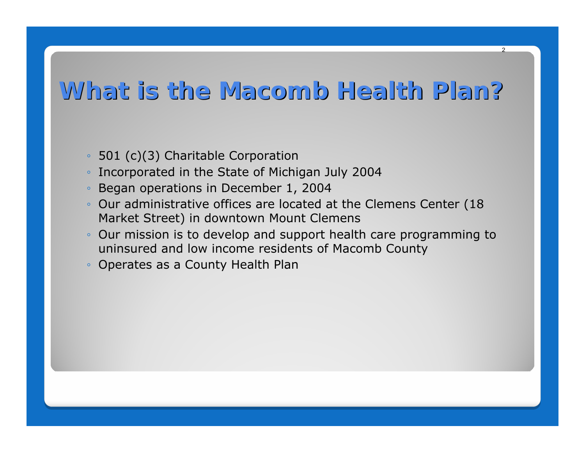### **What is the Macomb Health Plan? What is the Macomb Health Plan?**

- $\circ$ 501 (c)(3) Charitable Corporation
- ◦Incorporated in the State of Michigan July 2004
- $\circ$ Began operations in December 1, 2004
- Our administrative offices are located at the Clemens Center (18 Market Street) in downtown Mount Clemens
- Our mission is to develop and support health care programming to uninsured and low income residents of Macomb County
- Operates as a County Health Plan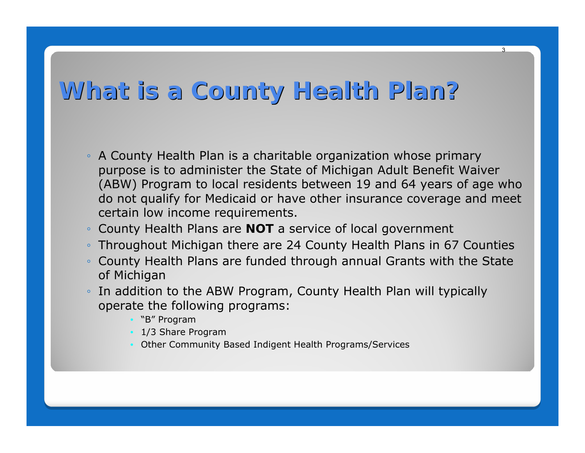## **What is a County Health Plan? What is a County Health Plan?**

- A County Health Plan is a charitable organization whose primary purpose is to administer the State of Michigan Adult Benefit Waiver (ABW) Program to local residents between 19 and 64 years of age who do not qualify for Medicaid or have other insurance coverage and meet certain low income requirements.
- County Health Plans are **NOT** a service of local government
- Throughout Michigan there are 24 County Health Plans in 67 Counties
- ◦ County Health Plans are funded through annual Grants with the State of Michigan
- In addition to the ABW Program, County Health Plan will typically operate the following programs:
	- "B" Program
	- 1/3 Share Program
	- Other Community Based Indigent Health Programs/Services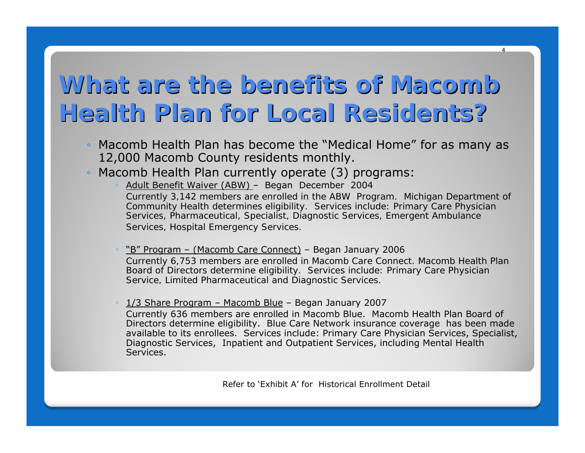# What are the benefits of Macomb **Health Plan for Local Residents? Health Plan for Local Residents?**

- Macomb Health Plan has become the "Medical Home" for as many as 12,000 Macomb County residents monthly.
- $\bullet$  Macomb Health Plan currently operate (3) programs:
	- Adult Benefit Waiver (ABW) Began December 2004 C*urrently 3,142 members are enrolled in the ABW Program. Michigan Department of Community Health determines eligibility. Services include: Primary Care Physician Services, Pharmaceutical, Specialist, Diagnostic Services, Emergent Ambulance Services, Hospital Emergency Services.*
	- "B" Program (Macomb Care Connect) Began January 2006 C*urrently 6,753 members are enrolled in Macomb Care Connect. Macomb Health Plan Board of Directors determine eligibility. Services include: Primary Care Physician Service, Limited Pharmaceutical and Diagnostic Services.*

• 1/3 Share Program – Macomb Blue – Began January 2007

Currently 636 members are enrolled in Macomb Blue. Macomb Health Plan Board of Directors determine eligibility. Blue Care Network insurance coverage has been made available to its enrollees. Services include: Primary Care Physician Services, Specialist, Diagnostic Services, Inpatient and Outpatient Services, including Mental Health Services.